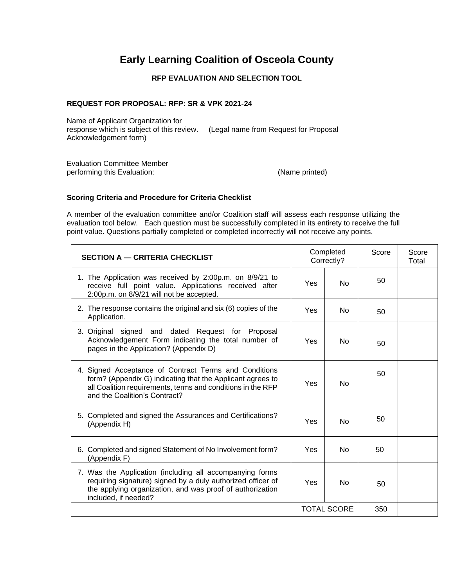# **Early Learning Coalition of Osceola County**

### **RFP EVALUATION AND SELECTION TOOL**

#### **REQUEST FOR PROPOSAL: RFP: SR & VPK 2021-24**

Name of Applicant Organization for response which is subject of this review. (Legal name from Request for Proposal Acknowledgement form)

Evaluation Committee Member performing this Evaluation: (Name printed)

#### **Scoring Criteria and Procedure for Criteria Checklist**

A member of the evaluation committee and/or Coalition staff will assess each response utilizing the evaluation tool below. Each question must be successfully completed in its entirety to receive the full point value. Questions partially completed or completed incorrectly will not receive any points.

| <b>SECTION A - CRITERIA CHECKLIST</b>                                                                                                                                                                               |     | Completed<br>Correctly? | Score | Score<br>Total |
|---------------------------------------------------------------------------------------------------------------------------------------------------------------------------------------------------------------------|-----|-------------------------|-------|----------------|
| 1. The Application was received by 2:00p.m. on 8/9/21 to<br>receive full point value. Applications received after<br>2:00p.m. on 8/9/21 will not be accepted.                                                       | Yes | N <sub>o</sub>          | 50    |                |
| 2. The response contains the original and six (6) copies of the<br>Application.                                                                                                                                     | Yes | N <sub>o</sub>          | 50    |                |
| 3. Original signed and dated Request for Proposal<br>Acknowledgement Form indicating the total number of<br>pages in the Application? (Appendix D)                                                                  | Yes | N <sub>0</sub>          | 50    |                |
| 4. Signed Acceptance of Contract Terms and Conditions<br>form? (Appendix G) indicating that the Applicant agrees to<br>all Coalition requirements, terms and conditions in the RFP<br>and the Coalition's Contract? | Yes | No                      | 50    |                |
| 5. Completed and signed the Assurances and Certifications?<br>(Appendix H)                                                                                                                                          | Yes | <b>No</b>               | 50    |                |
| 6. Completed and signed Statement of No Involvement form?<br>(Appendix F)                                                                                                                                           | Yes | N <sub>0</sub>          | 50    |                |
| 7. Was the Application (including all accompanying forms<br>requiring signature) signed by a duly authorized officer of<br>the applying organization, and was proof of authorization<br>included, if needed?        | Yes | N <sub>0</sub>          | 50    |                |
|                                                                                                                                                                                                                     |     | <b>TOTAL SCORE</b>      | 350   |                |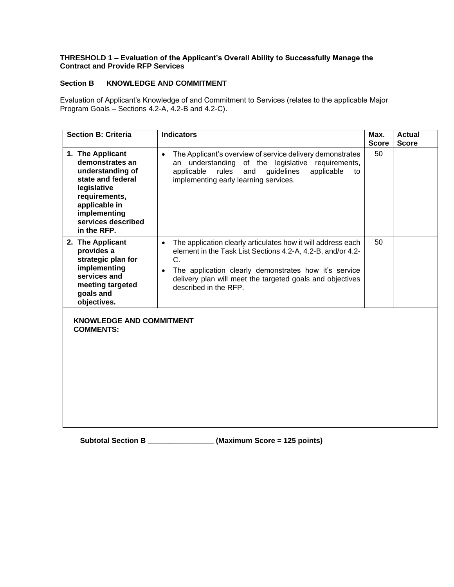#### **THRESHOLD 1 – Evaluation of the Applicant's Overall Ability to Successfully Manage the Contract and Provide RFP Services**

### **Section B KNOWLEDGE AND COMMITMENT**

Evaluation of Applicant's Knowledge of and Commitment to Services (relates to the applicable Major Program Goals – Sections 4.2-A, 4.2-B and 4.2-C).

| <b>Section B: Criteria</b>                                                                                                                                                         | <b>Indicators</b>                                                                                                                                                                                                                                                                                          | Max.<br><b>Score</b> | <b>Actual</b><br><b>Score</b> |
|------------------------------------------------------------------------------------------------------------------------------------------------------------------------------------|------------------------------------------------------------------------------------------------------------------------------------------------------------------------------------------------------------------------------------------------------------------------------------------------------------|----------------------|-------------------------------|
| 1. The Applicant<br>demonstrates an<br>understanding of<br>state and federal<br>legislative<br>requirements,<br>applicable in<br>implementing<br>services described<br>in the RFP. | The Applicant's overview of service delivery demonstrates<br>$\bullet$<br>understanding<br>of the legislative<br>requirements,<br>an<br>applicable<br>rules<br>guidelines<br>applicable<br>and<br>to<br>implementing early learning services.                                                              | 50                   |                               |
| 2. The Applicant<br>provides a<br>strategic plan for<br>implementing<br>services and<br>meeting targeted<br>goals and<br>objectives.                                               | The application clearly articulates how it will address each<br>$\bullet$<br>element in the Task List Sections 4.2-A, 4.2-B, and/or 4.2-<br>C.<br>The application clearly demonstrates how it's service<br>$\bullet$<br>delivery plan will meet the targeted goals and objectives<br>described in the RFP. | 50                   |                               |
| <b>KNOWLEDGE AND COMMITMENT</b><br><b>COMMENTS:</b>                                                                                                                                |                                                                                                                                                                                                                                                                                                            |                      |                               |

**Subtotal Section B \_\_\_\_\_\_\_\_\_\_\_\_\_\_\_\_ (Maximum Score = 125 points)**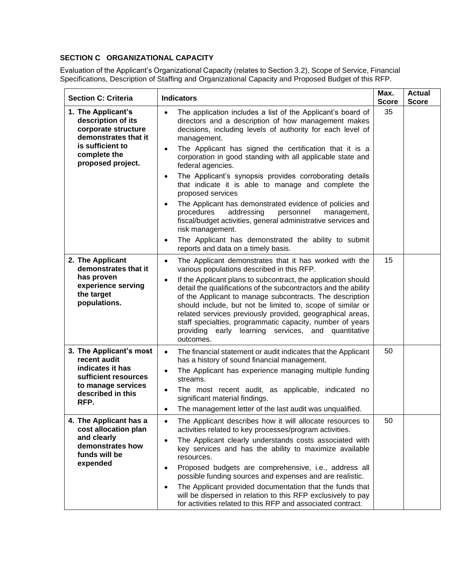### **SECTION C ORGANIZATIONAL CAPACITY**

Evaluation of the Applicant's Organizational Capacity (relates to Section 3.2), Scope of Service, Financial Specifications, Description of Staffing and Organizational Capacity and Proposed Budget of this RFP.

| <b>Section C: Criteria</b>                                                              | <b>Indicators</b>                                                                                                                                                                                                                                                                                                                                                                                                                                                     | Max.<br><b>Score</b> | <b>Actual</b><br><b>Score</b> |
|-----------------------------------------------------------------------------------------|-----------------------------------------------------------------------------------------------------------------------------------------------------------------------------------------------------------------------------------------------------------------------------------------------------------------------------------------------------------------------------------------------------------------------------------------------------------------------|----------------------|-------------------------------|
| 1. The Applicant's<br>description of its<br>corporate structure<br>demonstrates that it | The application includes a list of the Applicant's board of<br>$\bullet$<br>directors and a description of how management makes<br>decisions, including levels of authority for each level of<br>management.                                                                                                                                                                                                                                                          | 35                   |                               |
| is sufficient to<br>complete the<br>proposed project.                                   | The Applicant has signed the certification that it is a<br>$\bullet$<br>corporation in good standing with all applicable state and<br>federal agencies.                                                                                                                                                                                                                                                                                                               |                      |                               |
|                                                                                         | The Applicant's synopsis provides corroborating details<br>$\bullet$<br>that indicate it is able to manage and complete the<br>proposed services                                                                                                                                                                                                                                                                                                                      |                      |                               |
|                                                                                         | The Applicant has demonstrated evidence of policies and<br>$\bullet$<br>addressing<br>personnel<br>procedures<br>management,<br>fiscal/budget activities, general administrative services and<br>risk management.                                                                                                                                                                                                                                                     |                      |                               |
|                                                                                         | The Applicant has demonstrated the ability to submit<br>$\bullet$<br>reports and data on a timely basis.                                                                                                                                                                                                                                                                                                                                                              |                      |                               |
| 2. The Applicant<br>demonstrates that it                                                | The Applicant demonstrates that it has worked with the<br>$\bullet$<br>various populations described in this RFP.                                                                                                                                                                                                                                                                                                                                                     | 15                   |                               |
| has proven<br>experience serving<br>the target<br>populations.                          | If the Applicant plans to subcontract, the application should<br>$\bullet$<br>detail the qualifications of the subcontractors and the ability<br>of the Applicant to manage subcontracts. The description<br>should include, but not be limited to, scope of similar or<br>related services previously provided, geographical areas,<br>staff specialties, programmatic capacity, number of years<br>providing early learning services, and quantitative<br>outcomes. |                      |                               |
| 3. The Applicant's most<br>recent audit<br>indicates it has<br>sufficient resources     | The financial statement or audit indicates that the Applicant<br>$\bullet$<br>has a history of sound financial management.<br>The Applicant has experience managing multiple funding<br>$\bullet$                                                                                                                                                                                                                                                                     | 50                   |                               |
| to manage services<br>described in this<br>RFP.                                         | streams.<br>The most recent audit, as applicable, indicated no<br>$\bullet$<br>significant material findings.<br>The management letter of the last audit was unqualified.<br>$\bullet$                                                                                                                                                                                                                                                                                |                      |                               |
| 4. The Applicant has a                                                                  | The Applicant describes how it will allocate resources to                                                                                                                                                                                                                                                                                                                                                                                                             | 50                   |                               |
| cost allocation plan<br>and clearly<br>demonstrates how<br>funds will be                | activities related to key processes/program activities.<br>The Applicant clearly understands costs associated with<br>$\bullet$<br>key services and has the ability to maximize available<br>resources.                                                                                                                                                                                                                                                               |                      |                               |
| expended                                                                                | Proposed budgets are comprehensive, i.e., address all<br>$\bullet$<br>possible funding sources and expenses and are realistic.                                                                                                                                                                                                                                                                                                                                        |                      |                               |
|                                                                                         | The Applicant provided documentation that the funds that<br>$\bullet$<br>will be dispersed in relation to this RFP exclusively to pay<br>for activities related to this RFP and associated contract.                                                                                                                                                                                                                                                                  |                      |                               |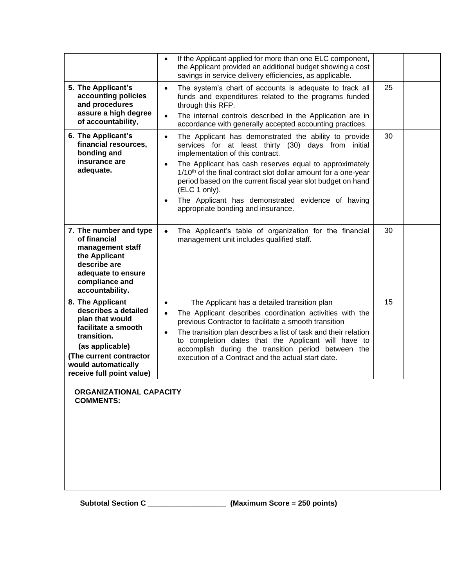|                                                                                                                                                                                                     | If the Applicant applied for more than one ELC component,<br>$\bullet$<br>the Applicant provided an additional budget showing a cost<br>savings in service delivery efficiencies, as applicable.                                                                                                                                                                                                                                                                                                           |    |  |
|-----------------------------------------------------------------------------------------------------------------------------------------------------------------------------------------------------|------------------------------------------------------------------------------------------------------------------------------------------------------------------------------------------------------------------------------------------------------------------------------------------------------------------------------------------------------------------------------------------------------------------------------------------------------------------------------------------------------------|----|--|
| 5. The Applicant's<br>accounting policies<br>and procedures<br>assure a high degree<br>of accountability,                                                                                           | The system's chart of accounts is adequate to track all<br>$\bullet$<br>funds and expenditures related to the programs funded<br>through this RFP.<br>The internal controls described in the Application are in<br>$\bullet$<br>accordance with generally accepted accounting practices.                                                                                                                                                                                                                   | 25 |  |
| 6. The Applicant's<br>financial resources,<br>bonding and<br>insurance are<br>adequate.                                                                                                             | The Applicant has demonstrated the ability to provide<br>$\bullet$<br>services for at least thirty (30) days from initial<br>implementation of this contract.<br>The Applicant has cash reserves equal to approximately<br>$\bullet$<br>1/10 <sup>th</sup> of the final contract slot dollar amount for a one-year<br>period based on the current fiscal year slot budget on hand<br>(ELC 1 only).<br>The Applicant has demonstrated evidence of having<br>$\bullet$<br>appropriate bonding and insurance. | 30 |  |
| 7. The number and type<br>of financial<br>management staff<br>the Applicant<br>describe are<br>adequate to ensure<br>compliance and<br>accountability.                                              | The Applicant's table of organization for the financial<br>$\bullet$<br>management unit includes qualified staff.                                                                                                                                                                                                                                                                                                                                                                                          | 30 |  |
| 8. The Applicant<br>describes a detailed<br>plan that would<br>facilitate a smooth<br>transition.<br>(as applicable)<br>(The current contractor<br>would automatically<br>receive full point value) | The Applicant has a detailed transition plan<br>$\bullet$<br>The Applicant describes coordination activities with the<br>$\bullet$<br>previous Contractor to facilitate a smooth transition<br>The transition plan describes a list of task and their relation<br>$\bullet$<br>to completion dates that the Applicant will have to<br>accomplish during the transition period between the<br>execution of a Contract and the actual start date.                                                            | 15 |  |
| <b>ORGANIZATIONAL CAPACITY</b><br><b>COMMENTS:</b>                                                                                                                                                  |                                                                                                                                                                                                                                                                                                                                                                                                                                                                                                            |    |  |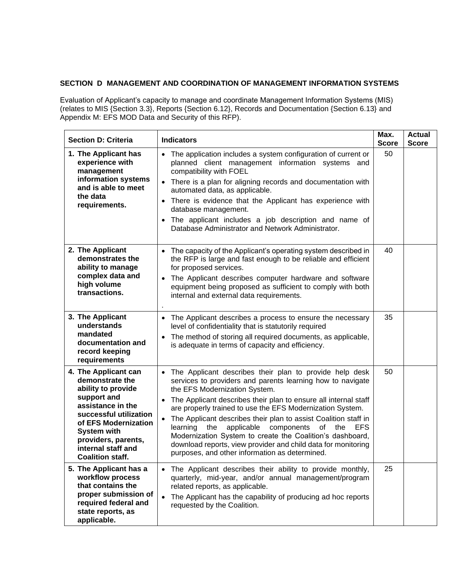### **SECTION D MANAGEMENT AND COORDINATION OF MANAGEMENT INFORMATION SYSTEMS**

Evaluation of Applicant's capacity to manage and coordinate Management Information Systems (MIS) (relates to MIS {Section 3.3}, Reports {Section 6.12}, Records and Documentation {Section 6.13} and Appendix M: EFS MOD Data and Security of this RFP).

| <b>Section D: Criteria</b>                                                                                                                                                                                                                        | <b>Indicators</b>                                                                                                                                                                                                                                                                                                                                                                                                                                                                                                                                                                                                          | Max.<br><b>Score</b> | <b>Actual</b><br><b>Score</b> |
|---------------------------------------------------------------------------------------------------------------------------------------------------------------------------------------------------------------------------------------------------|----------------------------------------------------------------------------------------------------------------------------------------------------------------------------------------------------------------------------------------------------------------------------------------------------------------------------------------------------------------------------------------------------------------------------------------------------------------------------------------------------------------------------------------------------------------------------------------------------------------------------|----------------------|-------------------------------|
| 1. The Applicant has<br>experience with<br>management<br>information systems<br>and is able to meet<br>the data<br>requirements.                                                                                                                  | • The application includes a system configuration of current or<br>planned client management information systems and<br>compatibility with FOEL<br>• There is a plan for aligning records and documentation with<br>automated data, as applicable.<br>• There is evidence that the Applicant has experience with<br>database management.<br>• The applicant includes a job description and name of<br>Database Administrator and Network Administrator.                                                                                                                                                                    | 50                   |                               |
| 2. The Applicant<br>demonstrates the<br>ability to manage<br>complex data and<br>high volume<br>transactions.                                                                                                                                     | The capacity of the Applicant's operating system described in<br>the RFP is large and fast enough to be reliable and efficient<br>for proposed services.<br>The Applicant describes computer hardware and software<br>equipment being proposed as sufficient to comply with both<br>internal and external data requirements.                                                                                                                                                                                                                                                                                               | 40                   |                               |
| 3. The Applicant<br>understands<br>mandated<br>documentation and<br>record keeping<br>requirements                                                                                                                                                | The Applicant describes a process to ensure the necessary<br>$\bullet$<br>level of confidentiality that is statutorily required<br>The method of storing all required documents, as applicable,<br>is adequate in terms of capacity and efficiency.                                                                                                                                                                                                                                                                                                                                                                        | 35                   |                               |
| 4. The Applicant can<br>demonstrate the<br>ability to provide<br>support and<br>assistance in the<br>successful utilization<br>of EFS Modernization<br><b>System with</b><br>providers, parents,<br>internal staff and<br><b>Coalition staff.</b> | The Applicant describes their plan to provide help desk<br>services to providers and parents learning how to navigate<br>the EFS Modernization System.<br>The Applicant describes their plan to ensure all internal staff<br>are properly trained to use the EFS Modernization System.<br>The Applicant describes their plan to assist Coalition staff in<br>$\bullet$<br>learning<br>applicable components<br>of the<br>the<br><b>EFS</b><br>Modernization System to create the Coalition's dashboard,<br>download reports, view provider and child data for monitoring<br>purposes, and other information as determined. | 50                   |                               |
| 5. The Applicant has a<br>workflow process<br>that contains the<br>proper submission of<br>required federal and<br>state reports, as<br>applicable.                                                                                               | • The Applicant describes their ability to provide monthly,<br>quarterly, mid-year, and/or annual management/program<br>related reports, as applicable.<br>The Applicant has the capability of producing ad hoc reports<br>requested by the Coalition.                                                                                                                                                                                                                                                                                                                                                                     | 25                   |                               |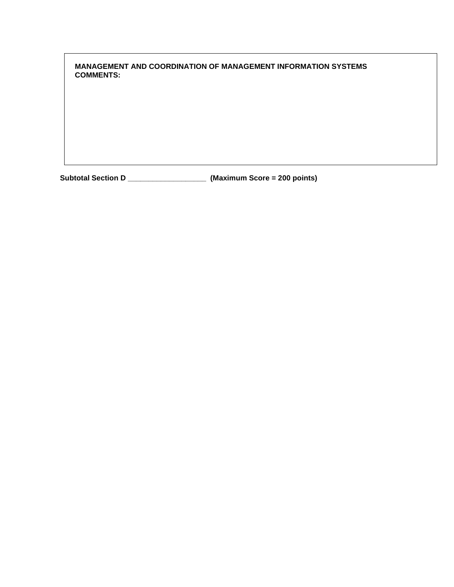**MANAGEMENT AND COORDINATION OF MANAGEMENT INFORMATION SYSTEMS COMMENTS:**

**Subtotal Section D \_\_\_\_\_\_\_\_\_\_\_\_\_\_\_\_\_\_\_ (Maximum Score = 200 points)**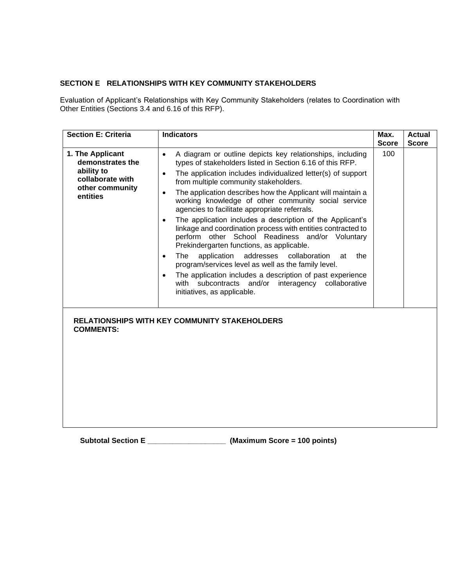### **SECTION E RELATIONSHIPS WITH KEY COMMUNITY STAKEHOLDERS**

Evaluation of Applicant's Relationships with Key Community Stakeholders (relates to Coordination with Other Entities (Sections 3.4 and 6.16 of this RFP).

| <b>Section E: Criteria</b>                                                                            | <b>Indicators</b>                                                                                                                                                                                                                                                                                                                                                                                                                                                                                                                                                                                                                                                                                                                                                                                                                                                                                                                                                                                 | Max.<br><b>Score</b> | <b>Actual</b><br><b>Score</b> |
|-------------------------------------------------------------------------------------------------------|---------------------------------------------------------------------------------------------------------------------------------------------------------------------------------------------------------------------------------------------------------------------------------------------------------------------------------------------------------------------------------------------------------------------------------------------------------------------------------------------------------------------------------------------------------------------------------------------------------------------------------------------------------------------------------------------------------------------------------------------------------------------------------------------------------------------------------------------------------------------------------------------------------------------------------------------------------------------------------------------------|----------------------|-------------------------------|
| 1. The Applicant<br>demonstrates the<br>ability to<br>collaborate with<br>other community<br>entities | A diagram or outline depicts key relationships, including<br>$\bullet$<br>types of stakeholders listed in Section 6.16 of this RFP.<br>The application includes individualized letter(s) of support<br>$\bullet$<br>from multiple community stakeholders.<br>The application describes how the Applicant will maintain a<br>$\bullet$<br>working knowledge of other community social service<br>agencies to facilitate appropriate referrals.<br>The application includes a description of the Applicant's<br>$\bullet$<br>linkage and coordination process with entities contracted to<br>perform other School Readiness and/or Voluntary<br>Prekindergarten functions, as applicable.<br>addresses<br>application<br>collaboration<br>The<br>at<br>the<br>$\bullet$<br>program/services level as well as the family level.<br>The application includes a description of past experience<br>$\bullet$<br>with subcontracts<br>interagency collaborative<br>and/or<br>initiatives, as applicable. | 100                  |                               |
| <b>COMMENTS:</b>                                                                                      | <b>RELATIONSHIPS WITH KEY COMMUNITY STAKEHOLDERS</b>                                                                                                                                                                                                                                                                                                                                                                                                                                                                                                                                                                                                                                                                                                                                                                                                                                                                                                                                              |                      |                               |

**Subtotal Section E \_\_\_\_\_\_\_\_\_\_\_\_\_\_\_\_\_\_\_ (Maximum Score = 100 points)**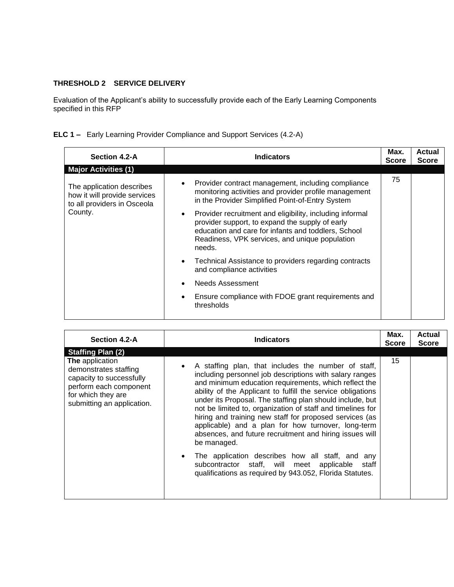# **THRESHOLD 2 SERVICE DELIVERY**

Evaluation of the Applicant's ability to successfully provide each of the Early Learning Components specified in this RFP

|  | <b>ELC 1 -</b> Early Learning Provider Compliance and Support Services (4.2-A) |  |  |
|--|--------------------------------------------------------------------------------|--|--|

| <b>Indicators</b>                                                                                                                                                                                                                                                                                                                                                                                                 | Max.<br><b>Score</b> | Actual<br><b>Score</b> |
|-------------------------------------------------------------------------------------------------------------------------------------------------------------------------------------------------------------------------------------------------------------------------------------------------------------------------------------------------------------------------------------------------------------------|----------------------|------------------------|
|                                                                                                                                                                                                                                                                                                                                                                                                                   |                      |                        |
| Provider contract management, including compliance<br>$\bullet$<br>monitoring activities and provider profile management<br>in the Provider Simplified Point-of-Entry System<br>Provider recruitment and eligibility, including informal<br>$\bullet$<br>provider support, to expand the supply of early<br>education and care for infants and toddlers, School<br>Readiness, VPK services, and unique population | 75                   |                        |
| Technical Assistance to providers regarding contracts<br>$\bullet$<br>and compliance activities<br>Needs Assessment<br>Ensure compliance with FDOE grant requirements and                                                                                                                                                                                                                                         |                      |                        |
|                                                                                                                                                                                                                                                                                                                                                                                                                   | needs.<br>thresholds |                        |

| Section 4.2-A                                                                                                                                      | <b>Indicators</b>                                                                                                                                                                                                                                                                                                                                                                                                                                                                                                                                                         | Max.<br><b>Score</b> | <b>Actual</b><br><b>Score</b> |
|----------------------------------------------------------------------------------------------------------------------------------------------------|---------------------------------------------------------------------------------------------------------------------------------------------------------------------------------------------------------------------------------------------------------------------------------------------------------------------------------------------------------------------------------------------------------------------------------------------------------------------------------------------------------------------------------------------------------------------------|----------------------|-------------------------------|
| <b>Staffing Plan (2)</b>                                                                                                                           |                                                                                                                                                                                                                                                                                                                                                                                                                                                                                                                                                                           |                      |                               |
| The application<br>demonstrates staffing<br>capacity to successfully<br>perform each component<br>for which they are<br>submitting an application. | A staffing plan, that includes the number of staff,<br>$\bullet$<br>including personnel job descriptions with salary ranges<br>and minimum education requirements, which reflect the<br>ability of the Applicant to fulfill the service obligations<br>under its Proposal. The staffing plan should include, but<br>not be limited to, organization of staff and timelines for<br>hiring and training new staff for proposed services (as<br>applicable) and a plan for how turnover, long-term<br>absences, and future recruitment and hiring issues will<br>be managed. | 15                   |                               |
|                                                                                                                                                    | The application describes how all staff, and any<br>$\bullet$<br>subcontractor staff, will meet applicable<br>staff<br>qualifications as required by 943.052, Florida Statutes.                                                                                                                                                                                                                                                                                                                                                                                           |                      |                               |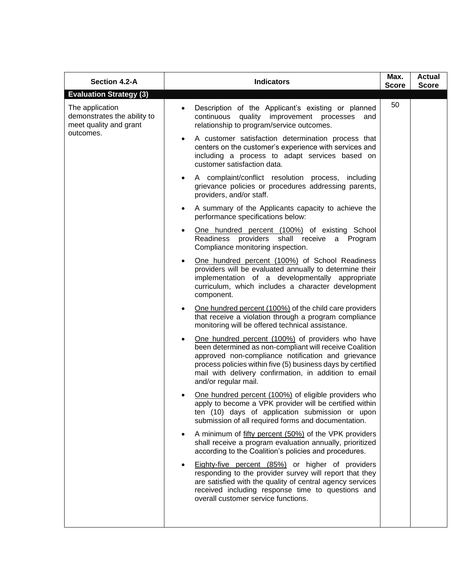| Section 4.2-A                                                                         | <b>Indicators</b>                                                                                                                                                                                                                                                                                                              | Max.<br><b>Score</b> | <b>Actual</b><br><b>Score</b> |
|---------------------------------------------------------------------------------------|--------------------------------------------------------------------------------------------------------------------------------------------------------------------------------------------------------------------------------------------------------------------------------------------------------------------------------|----------------------|-------------------------------|
| <b>Evaluation Strategy (3)</b>                                                        |                                                                                                                                                                                                                                                                                                                                |                      |                               |
| The application<br>demonstrates the ability to<br>meet quality and grant<br>outcomes. | Description of the Applicant's existing or planned<br>continuous quality improvement processes and<br>relationship to program/service outcomes.                                                                                                                                                                                | 50                   |                               |
|                                                                                       | A customer satisfaction determination process that<br>$\bullet$<br>centers on the customer's experience with services and<br>including a process to adapt services based on<br>customer satisfaction data.                                                                                                                     |                      |                               |
|                                                                                       | A complaint/conflict resolution process, including<br>٠<br>grievance policies or procedures addressing parents,<br>providers, and/or staff.                                                                                                                                                                                    |                      |                               |
|                                                                                       | A summary of the Applicants capacity to achieve the<br>٠<br>performance specifications below:                                                                                                                                                                                                                                  |                      |                               |
|                                                                                       | One hundred percent (100%) of existing School<br>Readiness providers shall receive a Program<br>Compliance monitoring inspection.                                                                                                                                                                                              |                      |                               |
|                                                                                       | One hundred percent (100%) of School Readiness<br>$\bullet$<br>providers will be evaluated annually to determine their<br>implementation of a developmentally appropriate<br>curriculum, which includes a character development<br>component.                                                                                  |                      |                               |
|                                                                                       | One hundred percent (100%) of the child care providers<br>$\bullet$<br>that receive a violation through a program compliance<br>monitoring will be offered technical assistance.                                                                                                                                               |                      |                               |
|                                                                                       | One hundred percent (100%) of providers who have<br>$\bullet$<br>been determined as non-compliant will receive Coalition<br>approved non-compliance notification and grievance<br>process policies within five (5) business days by certified<br>mail with delivery confirmation, in addition to email<br>and/or regular mail. |                      |                               |
|                                                                                       | One hundred percent (100%) of eligible providers who<br>apply to become a VPK provider will be certified within<br>ten (10) days of application submission or upon<br>submission of all required forms and documentation.                                                                                                      |                      |                               |
|                                                                                       | A minimum of fifty percent (50%) of the VPK providers<br>$\bullet$<br>shall receive a program evaluation annually, prioritized<br>according to the Coalition's policies and procedures.                                                                                                                                        |                      |                               |
|                                                                                       | Eighty-five percent (85%) or higher of providers<br>$\bullet$<br>responding to the provider survey will report that they<br>are satisfied with the quality of central agency services<br>received including response time to questions and<br>overall customer service functions.                                              |                      |                               |
|                                                                                       |                                                                                                                                                                                                                                                                                                                                |                      |                               |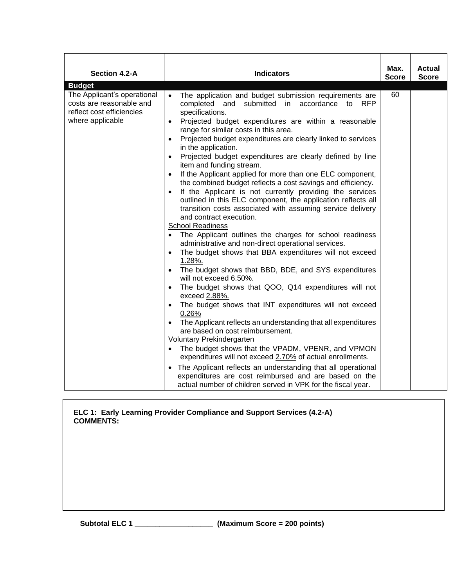| Section 4.2-A                                                                                            | <b>Indicators</b>                                                                                                                                                                                                                                                                                                                                                                                                                                                                                                                                                                                                                                                                                                                                                                                                                                                                                                                                                                                                                                                                                                                                                                                                                                                                                                                                                                                                                                                                                                                                                                                                                                                                                                                                   | Max.<br><b>Score</b> | <b>Actual</b><br><b>Score</b> |
|----------------------------------------------------------------------------------------------------------|-----------------------------------------------------------------------------------------------------------------------------------------------------------------------------------------------------------------------------------------------------------------------------------------------------------------------------------------------------------------------------------------------------------------------------------------------------------------------------------------------------------------------------------------------------------------------------------------------------------------------------------------------------------------------------------------------------------------------------------------------------------------------------------------------------------------------------------------------------------------------------------------------------------------------------------------------------------------------------------------------------------------------------------------------------------------------------------------------------------------------------------------------------------------------------------------------------------------------------------------------------------------------------------------------------------------------------------------------------------------------------------------------------------------------------------------------------------------------------------------------------------------------------------------------------------------------------------------------------------------------------------------------------------------------------------------------------------------------------------------------------|----------------------|-------------------------------|
| <b>Budget</b>                                                                                            |                                                                                                                                                                                                                                                                                                                                                                                                                                                                                                                                                                                                                                                                                                                                                                                                                                                                                                                                                                                                                                                                                                                                                                                                                                                                                                                                                                                                                                                                                                                                                                                                                                                                                                                                                     |                      |                               |
| The Applicant's operational<br>costs are reasonable and<br>reflect cost efficiencies<br>where applicable | The application and budget submission requirements are<br>$\bullet$<br>completed and<br>submitted in<br>accordance<br><b>RFP</b><br>to<br>specifications.<br>Projected budget expenditures are within a reasonable<br>$\bullet$<br>range for similar costs in this area.<br>Projected budget expenditures are clearly linked to services<br>in the application.<br>Projected budget expenditures are clearly defined by line<br>item and funding stream.<br>If the Applicant applied for more than one ELC component,<br>the combined budget reflects a cost savings and efficiency.<br>If the Applicant is not currently providing the services<br>outlined in this ELC component, the application reflects all<br>transition costs associated with assuming service delivery<br>and contract execution.<br><b>School Readiness</b><br>The Applicant outlines the charges for school readiness<br>$\bullet$<br>administrative and non-direct operational services.<br>The budget shows that BBA expenditures will not exceed<br>1.28%.<br>The budget shows that BBD, BDE, and SYS expenditures<br>will not exceed 6.50%.<br>The budget shows that QOO, Q14 expenditures will not<br>exceed 2.88%.<br>The budget shows that INT expenditures will not exceed<br>0.26%<br>The Applicant reflects an understanding that all expenditures<br>$\bullet$<br>are based on cost reimbursement.<br><b>Voluntary Prekindergarten</b><br>The budget shows that the VPADM, VPENR, and VPMON<br>$\bullet$<br>expenditures will not exceed 2.70% of actual enrollments.<br>The Applicant reflects an understanding that all operational<br>expenditures are cost reimbursed and are based on the<br>actual number of children served in VPK for the fiscal year. | 60                   |                               |

#### **ELC 1: Early Learning Provider Compliance and Support Services (4.2-A) COMMENTS:**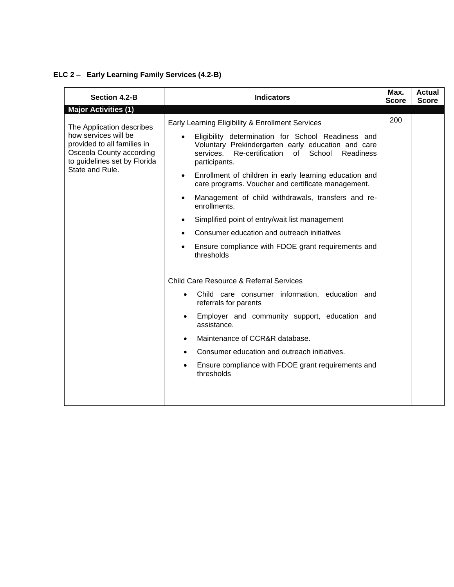# **ELC 2 – Early Learning Family Services (4.2-B)**

| Section 4.2-B                                                                           | <b>Indicators</b>                                                                                                              | Max.<br><b>Score</b> | <b>Actual</b><br><b>Score</b> |
|-----------------------------------------------------------------------------------------|--------------------------------------------------------------------------------------------------------------------------------|----------------------|-------------------------------|
| <b>Major Activities (1)</b>                                                             |                                                                                                                                |                      |                               |
| The Application describes<br>how services will be                                       | Early Learning Eligibility & Enrollment Services<br>Eligibility determination for School Readiness and                         | 200                  |                               |
| provided to all families in<br>Osceola County according<br>to guidelines set by Florida | Voluntary Prekindergarten early education and care<br>School<br>Readiness<br>services.<br>Re-certification of<br>participants. |                      |                               |
| State and Rule.                                                                         | Enrollment of children in early learning education and<br>$\bullet$<br>care programs. Voucher and certificate management.      |                      |                               |
|                                                                                         | Management of child withdrawals, transfers and re-<br>$\bullet$<br>enrollments.                                                |                      |                               |
|                                                                                         | Simplified point of entry/wait list management<br>$\bullet$                                                                    |                      |                               |
|                                                                                         | Consumer education and outreach initiatives                                                                                    |                      |                               |
|                                                                                         | Ensure compliance with FDOE grant requirements and<br>thresholds                                                               |                      |                               |
|                                                                                         | <b>Child Care Resource &amp; Referral Services</b>                                                                             |                      |                               |
|                                                                                         | Child care consumer information, education and<br>referrals for parents                                                        |                      |                               |
|                                                                                         | Employer and community support, education and<br>assistance.                                                                   |                      |                               |
|                                                                                         | Maintenance of CCR&R database.                                                                                                 |                      |                               |
|                                                                                         | Consumer education and outreach initiatives.                                                                                   |                      |                               |
|                                                                                         | Ensure compliance with FDOE grant requirements and<br>thresholds                                                               |                      |                               |
|                                                                                         |                                                                                                                                |                      |                               |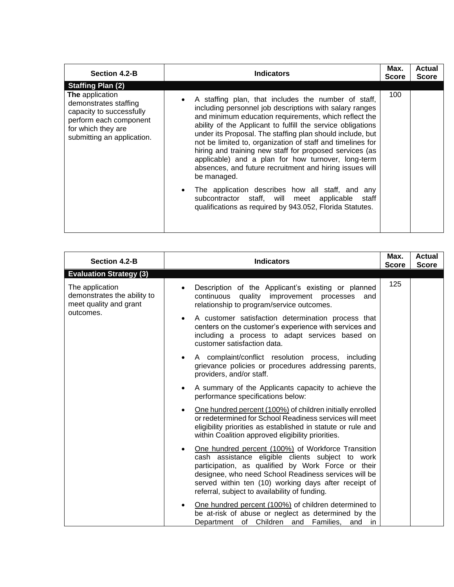| Section 4.2-B                                                                                                                                                                  | <b>Indicators</b>                                                                                                                                                                                                                                                                                                                                                                                                                         | Max.<br><b>Score</b> | Actual<br><b>Score</b> |
|--------------------------------------------------------------------------------------------------------------------------------------------------------------------------------|-------------------------------------------------------------------------------------------------------------------------------------------------------------------------------------------------------------------------------------------------------------------------------------------------------------------------------------------------------------------------------------------------------------------------------------------|----------------------|------------------------|
| <b>Staffing Plan (2)</b><br>The application<br>demonstrates staffing<br>capacity to successfully<br>perform each component<br>for which they are<br>submitting an application. | A staffing plan, that includes the number of staff,<br>$\bullet$<br>including personnel job descriptions with salary ranges<br>and minimum education requirements, which reflect the<br>ability of the Applicant to fulfill the service obligations<br>under its Proposal. The staffing plan should include, but<br>not be limited to, organization of staff and timelines for<br>hiring and training new staff for proposed services (as | 100                  |                        |
|                                                                                                                                                                                | applicable) and a plan for how turnover, long-term<br>absences, and future recruitment and hiring issues will<br>be managed.<br>The application describes how all staff, and any<br>$\bullet$<br>subcontractor staff, will meet applicable<br>staff<br>qualifications as required by 943.052, Florida Statutes.                                                                                                                           |                      |                        |

| <b>Section 4.2-B</b>                                                     | <b>Indicators</b>                                                                                                                                                                                                                                                                                                             | Max.<br><b>Score</b> | <b>Actual</b><br><b>Score</b> |
|--------------------------------------------------------------------------|-------------------------------------------------------------------------------------------------------------------------------------------------------------------------------------------------------------------------------------------------------------------------------------------------------------------------------|----------------------|-------------------------------|
| <b>Evaluation Strategy (3)</b>                                           |                                                                                                                                                                                                                                                                                                                               |                      |                               |
| The application<br>demonstrates the ability to<br>meet quality and grant | Description of the Applicant's existing or planned<br>continuous quality improvement processes<br>and<br>relationship to program/service outcomes.                                                                                                                                                                            | 125                  |                               |
| outcomes.                                                                | A customer satisfaction determination process that<br>centers on the customer's experience with services and<br>including a process to adapt services based on<br>customer satisfaction data.                                                                                                                                 |                      |                               |
|                                                                          | A complaint/conflict resolution process, including<br>grievance policies or procedures addressing parents,<br>providers, and/or staff.                                                                                                                                                                                        |                      |                               |
|                                                                          | A summary of the Applicants capacity to achieve the<br>performance specifications below:                                                                                                                                                                                                                                      |                      |                               |
|                                                                          | One hundred percent (100%) of children initially enrolled<br>or redetermined for School Readiness services will meet<br>eligibility priorities as established in statute or rule and<br>within Coalition approved eligibility priorities.                                                                                     |                      |                               |
|                                                                          | One hundred percent (100%) of Workforce Transition<br>cash assistance eligible clients subject to work<br>participation, as qualified by Work Force or their<br>designee, who need School Readiness services will be<br>served within ten (10) working days after receipt of<br>referral, subject to availability of funding. |                      |                               |
|                                                                          | One hundred percent (100%) of children determined to<br>be at-risk of abuse or neglect as determined by the<br>Department of Children and Families,<br>and<br>in.                                                                                                                                                             |                      |                               |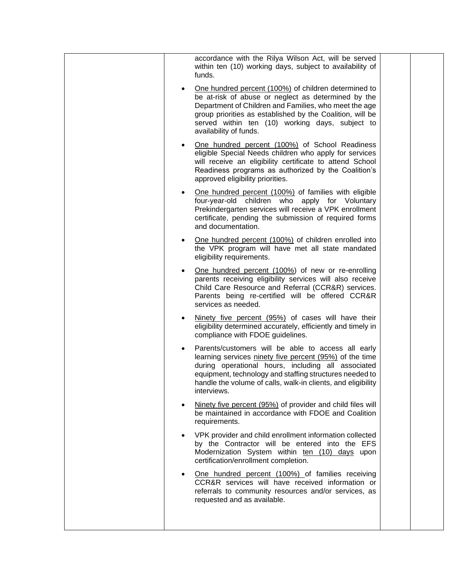| accordance with the Rilya Wilson Act, will be served<br>within ten (10) working days, subject to availability of<br>funds.                                                                                                                                                                                     |  |
|----------------------------------------------------------------------------------------------------------------------------------------------------------------------------------------------------------------------------------------------------------------------------------------------------------------|--|
| One hundred percent (100%) of children determined to<br>be at-risk of abuse or neglect as determined by the<br>Department of Children and Families, who meet the age<br>group priorities as established by the Coalition, will be<br>served within ten (10) working days, subject to<br>availability of funds. |  |
| One hundred percent (100%) of School Readiness<br>eligible Special Needs children who apply for services<br>will receive an eligibility certificate to attend School<br>Readiness programs as authorized by the Coalition's<br>approved eligibility priorities.                                                |  |
| One hundred percent (100%) of families with eligible<br>four-year-old children who apply for Voluntary<br>Prekindergarten services will receive a VPK enrollment<br>certificate, pending the submission of required forms<br>and documentation.                                                                |  |
| One hundred percent (100%) of children enrolled into<br>the VPK program will have met all state mandated<br>eligibility requirements.                                                                                                                                                                          |  |
| One hundred percent (100%) of new or re-enrolling<br>parents receiving eligibility services will also receive<br>Child Care Resource and Referral (CCR&R) services.<br>Parents being re-certified will be offered CCR&R<br>services as needed.                                                                 |  |
| Ninety five percent (95%) of cases will have their<br>eligibility determined accurately, efficiently and timely in<br>compliance with FDOE guidelines.                                                                                                                                                         |  |
| Parents/customers will be able to access all early<br>learning services ninety five percent (95%) of the time<br>during operational hours, including all associated<br>equipment, technology and staffing structures needed to<br>handle the volume of calls, walk-in clients, and eligibility<br>interviews.  |  |
| Ninety five percent (95%) of provider and child files will<br>be maintained in accordance with FDOE and Coalition<br>requirements.                                                                                                                                                                             |  |
| VPK provider and child enrollment information collected<br>by the Contractor will be entered into the EFS<br>Modernization System within ten (10) days upon<br>certification/enrollment completion.                                                                                                            |  |
| One hundred percent (100%) of families receiving<br>CCR&R services will have received information or<br>referrals to community resources and/or services, as<br>requested and as available.                                                                                                                    |  |
|                                                                                                                                                                                                                                                                                                                |  |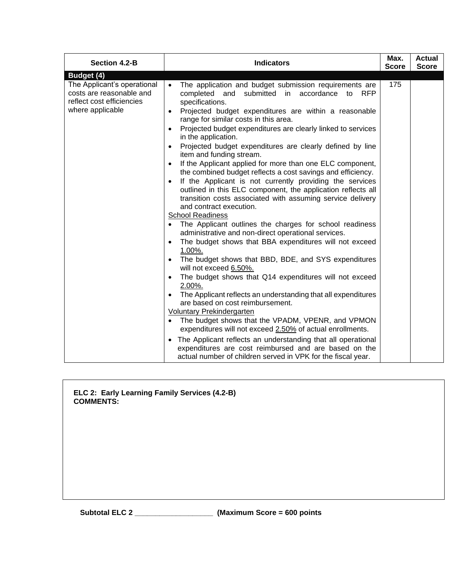| <b>Section 4.2-B</b>                                                                                                   | <b>Indicators</b>                                                                                                                                                                                                                                                                                                                                                                                                                                                                                                                                                                                                                                                                                                                                                                                                                                                                                                                                                                                                                                                                                                                                                                                                                                                                                                                                                                                                                                                                                                                                                                                                     |              | <b>Actual</b> |
|------------------------------------------------------------------------------------------------------------------------|-----------------------------------------------------------------------------------------------------------------------------------------------------------------------------------------------------------------------------------------------------------------------------------------------------------------------------------------------------------------------------------------------------------------------------------------------------------------------------------------------------------------------------------------------------------------------------------------------------------------------------------------------------------------------------------------------------------------------------------------------------------------------------------------------------------------------------------------------------------------------------------------------------------------------------------------------------------------------------------------------------------------------------------------------------------------------------------------------------------------------------------------------------------------------------------------------------------------------------------------------------------------------------------------------------------------------------------------------------------------------------------------------------------------------------------------------------------------------------------------------------------------------------------------------------------------------------------------------------------------------|--------------|---------------|
|                                                                                                                        |                                                                                                                                                                                                                                                                                                                                                                                                                                                                                                                                                                                                                                                                                                                                                                                                                                                                                                                                                                                                                                                                                                                                                                                                                                                                                                                                                                                                                                                                                                                                                                                                                       | <b>Score</b> | <b>Score</b>  |
| Budget (4)<br>The Applicant's operational<br>costs are reasonable and<br>reflect cost efficiencies<br>where applicable | The application and budget submission requirements are<br>completed and<br>submitted in accordance<br>to<br><b>RFP</b><br>specifications.<br>Projected budget expenditures are within a reasonable<br>range for similar costs in this area.<br>Projected budget expenditures are clearly linked to services<br>in the application.<br>Projected budget expenditures are clearly defined by line<br>item and funding stream.<br>If the Applicant applied for more than one ELC component,<br>the combined budget reflects a cost savings and efficiency.<br>If the Applicant is not currently providing the services<br>outlined in this ELC component, the application reflects all<br>transition costs associated with assuming service delivery<br>and contract execution.<br><b>School Readiness</b><br>The Applicant outlines the charges for school readiness<br>administrative and non-direct operational services.<br>The budget shows that BBA expenditures will not exceed<br>$1.00\%$ .<br>The budget shows that BBD, BDE, and SYS expenditures<br>will not exceed 6.50%.<br>The budget shows that Q14 expenditures will not exceed<br>$2.00\%$ .<br>The Applicant reflects an understanding that all expenditures<br>are based on cost reimbursement.<br>Voluntary Prekindergarten<br>The budget shows that the VPADM, VPENR, and VPMON<br>expenditures will not exceed 2.50% of actual enrollments.<br>The Applicant reflects an understanding that all operational<br>$\bullet$<br>expenditures are cost reimbursed and are based on the<br>actual number of children served in VPK for the fiscal year. | 175          |               |

|                  | ELC 2: Early Learning Family Services (4.2-B) |  |
|------------------|-----------------------------------------------|--|
| <b>COMMENTS:</b> |                                               |  |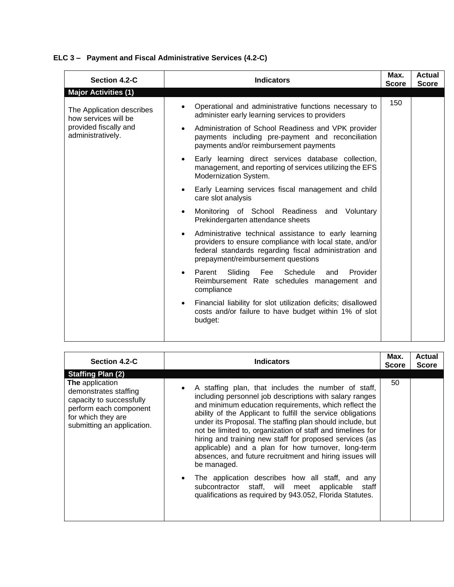## **ELC 3 – Payment and Fiscal Administrative Services (4.2-C)**

| Section 4.2-C                                     | <b>Indicators</b>                                                                                                                                                                                               | Max.<br><b>Score</b> | <b>Actual</b><br><b>Score</b> |
|---------------------------------------------------|-----------------------------------------------------------------------------------------------------------------------------------------------------------------------------------------------------------------|----------------------|-------------------------------|
| <b>Major Activities (1)</b>                       |                                                                                                                                                                                                                 |                      |                               |
| The Application describes<br>how services will be | Operational and administrative functions necessary to<br>administer early learning services to providers                                                                                                        | 150                  |                               |
| provided fiscally and<br>administratively.        | Administration of School Readiness and VPK provider<br>payments including pre-payment and reconciliation<br>payments and/or reimbursement payments                                                              |                      |                               |
|                                                   | Early learning direct services database collection,<br>management, and reporting of services utilizing the EFS<br>Modernization System.                                                                         |                      |                               |
|                                                   | Early Learning services fiscal management and child<br>care slot analysis                                                                                                                                       |                      |                               |
|                                                   | Monitoring of School Readiness and Voluntary<br>Prekindergarten attendance sheets                                                                                                                               |                      |                               |
|                                                   | Administrative technical assistance to early learning<br>providers to ensure compliance with local state, and/or<br>federal standards regarding fiscal administration and<br>prepayment/reimbursement questions |                      |                               |
|                                                   | Sliding<br>Fee<br>Schedule<br>Provider<br>Parent<br>and<br>Reimbursement Rate schedules management and<br>compliance                                                                                            |                      |                               |
|                                                   | Financial liability for slot utilization deficits; disallowed<br>costs and/or failure to have budget within 1% of slot<br>budget:                                                                               |                      |                               |

| Section 4.2-C                                                                                                                                             | <b>Indicators</b>                                                                                                                                                                                                                                                                                                                                                                                                                                                                                                                                                                                                                                                                                                                                            | Max.<br><b>Score</b> | <b>Actual</b><br><b>Score</b> |
|-----------------------------------------------------------------------------------------------------------------------------------------------------------|--------------------------------------------------------------------------------------------------------------------------------------------------------------------------------------------------------------------------------------------------------------------------------------------------------------------------------------------------------------------------------------------------------------------------------------------------------------------------------------------------------------------------------------------------------------------------------------------------------------------------------------------------------------------------------------------------------------------------------------------------------------|----------------------|-------------------------------|
| <b>Staffing Plan (2)</b>                                                                                                                                  |                                                                                                                                                                                                                                                                                                                                                                                                                                                                                                                                                                                                                                                                                                                                                              |                      |                               |
| <b>The</b> application<br>demonstrates staffing<br>capacity to successfully<br>perform each component<br>for which they are<br>submitting an application. | A staffing plan, that includes the number of staff,<br>$\bullet$<br>including personnel job descriptions with salary ranges<br>and minimum education requirements, which reflect the<br>ability of the Applicant to fulfill the service obligations<br>under its Proposal. The staffing plan should include, but<br>not be limited to, organization of staff and timelines for<br>hiring and training new staff for proposed services (as<br>applicable) and a plan for how turnover, long-term<br>absences, and future recruitment and hiring issues will<br>be managed.<br>The application describes how all staff, and any<br>$\bullet$<br>subcontractor staff, will meet applicable<br>staff<br>qualifications as required by 943.052, Florida Statutes. | 50                   |                               |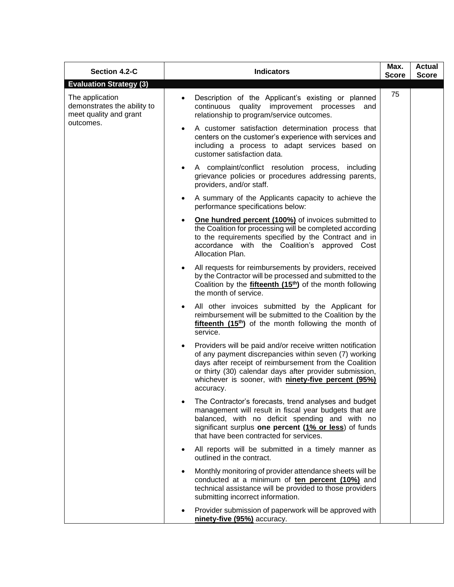| Section 4.2-C                                                            | <b>Indicators</b>                                                                                                                                                                                                                                                                                                         | Max.<br><b>Score</b> | <b>Actual</b><br><b>Score</b> |
|--------------------------------------------------------------------------|---------------------------------------------------------------------------------------------------------------------------------------------------------------------------------------------------------------------------------------------------------------------------------------------------------------------------|----------------------|-------------------------------|
| <b>Evaluation Strategy (3)</b>                                           |                                                                                                                                                                                                                                                                                                                           |                      |                               |
| The application<br>demonstrates the ability to<br>meet quality and grant | Description of the Applicant's existing or planned<br>$\bullet$<br>continuous quality improvement processes<br>and<br>relationship to program/service outcomes.                                                                                                                                                           | 75                   |                               |
| outcomes.                                                                | A customer satisfaction determination process that<br>$\bullet$<br>centers on the customer's experience with services and<br>including a process to adapt services based on<br>customer satisfaction data.                                                                                                                |                      |                               |
|                                                                          | A complaint/conflict resolution process, including<br>$\bullet$<br>grievance policies or procedures addressing parents,<br>providers, and/or staff.                                                                                                                                                                       |                      |                               |
|                                                                          | A summary of the Applicants capacity to achieve the<br>$\bullet$<br>performance specifications below:                                                                                                                                                                                                                     |                      |                               |
|                                                                          | <b>One hundred percent (100%)</b> of invoices submitted to<br>$\bullet$<br>the Coalition for processing will be completed according<br>to the requirements specified by the Contract and in<br>accordance with the Coalition's approved Cost<br>Allocation Plan.                                                          |                      |                               |
|                                                                          | All requests for reimbursements by providers, received<br>$\bullet$<br>by the Contractor will be processed and submitted to the<br>Coalition by the <b>fifteenth (15<sup>th</sup>)</b> of the month following<br>the month of service.                                                                                    |                      |                               |
|                                                                          | All other invoices submitted by the Applicant for<br>reimbursement will be submitted to the Coalition by the<br>$f$ ifteenth $(15th)$ of the month following the month of<br>service.                                                                                                                                     |                      |                               |
|                                                                          | Providers will be paid and/or receive written notification<br>$\bullet$<br>of any payment discrepancies within seven (7) working<br>days after receipt of reimbursement from the Coalition<br>or thirty (30) calendar days after provider submission,<br>whichever is sooner, with ninety-five percent (95%)<br>accuracy. |                      |                               |
|                                                                          | The Contractor's forecasts, trend analyses and budget<br>management will result in fiscal year budgets that are<br>balanced, with no deficit spending and with no<br>significant surplus one percent (1% or less) of funds<br>that have been contracted for services.                                                     |                      |                               |
|                                                                          | All reports will be submitted in a timely manner as<br>$\bullet$<br>outlined in the contract.                                                                                                                                                                                                                             |                      |                               |
|                                                                          | Monthly monitoring of provider attendance sheets will be<br>$\bullet$<br>conducted at a minimum of ten percent (10%) and<br>technical assistance will be provided to those providers<br>submitting incorrect information.                                                                                                 |                      |                               |
|                                                                          | Provider submission of paperwork will be approved with<br>ninety-five (95%) accuracy.                                                                                                                                                                                                                                     |                      |                               |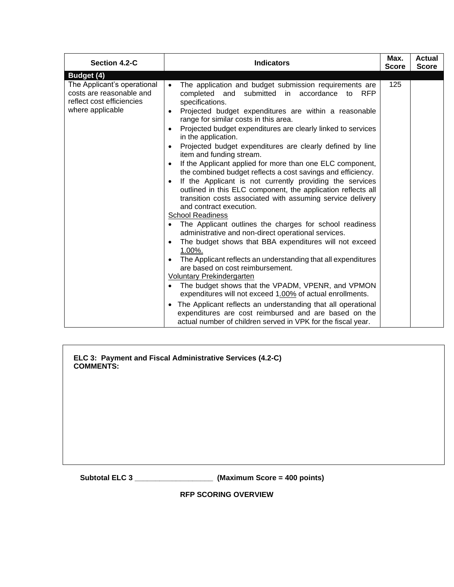| Section 4.2-C                                                                                                          | <b>Indicators</b>                                                                                                                                                                                                                                                                                                                                                                                                                                                                                                                                                                                                                                                                                                                                                                                                                                                                                                                                                                                                                                                                                                                                                                                                                                                                                                                                                                                                                           | Max.<br><b>Score</b> | <b>Actual</b><br><b>Score</b> |
|------------------------------------------------------------------------------------------------------------------------|---------------------------------------------------------------------------------------------------------------------------------------------------------------------------------------------------------------------------------------------------------------------------------------------------------------------------------------------------------------------------------------------------------------------------------------------------------------------------------------------------------------------------------------------------------------------------------------------------------------------------------------------------------------------------------------------------------------------------------------------------------------------------------------------------------------------------------------------------------------------------------------------------------------------------------------------------------------------------------------------------------------------------------------------------------------------------------------------------------------------------------------------------------------------------------------------------------------------------------------------------------------------------------------------------------------------------------------------------------------------------------------------------------------------------------------------|----------------------|-------------------------------|
| Budget (4)<br>The Applicant's operational<br>costs are reasonable and<br>reflect cost efficiencies<br>where applicable | The application and budget submission requirements are<br>completed and submitted in accordance<br>to<br><b>RFP</b><br>specifications.<br>Projected budget expenditures are within a reasonable<br>range for similar costs in this area.<br>Projected budget expenditures are clearly linked to services<br>in the application.<br>Projected budget expenditures are clearly defined by line<br>item and funding stream.<br>If the Applicant applied for more than one ELC component,<br>the combined budget reflects a cost savings and efficiency.<br>If the Applicant is not currently providing the services<br>outlined in this ELC component, the application reflects all<br>transition costs associated with assuming service delivery<br>and contract execution.<br><b>School Readiness</b><br>The Applicant outlines the charges for school readiness<br>administrative and non-direct operational services.<br>The budget shows that BBA expenditures will not exceed<br>$1.00\%$ .<br>The Applicant reflects an understanding that all expenditures<br>are based on cost reimbursement.<br>Voluntary Prekindergarten<br>The budget shows that the VPADM, VPENR, and VPMON<br>expenditures will not exceed 1.00% of actual enrollments.<br>The Applicant reflects an understanding that all operational<br>expenditures are cost reimbursed and are based on the<br>actual number of children served in VPK for the fiscal year. | 125                  |                               |

**ELC 3: Payment and Fiscal Administrative Services (4.2-C) COMMENTS:**

**Subtotal ELC 3 \_\_\_\_\_\_\_\_\_\_\_\_\_\_\_\_\_\_\_ (Maximum Score = 400 points)**

**RFP SCORING OVERVIEW**